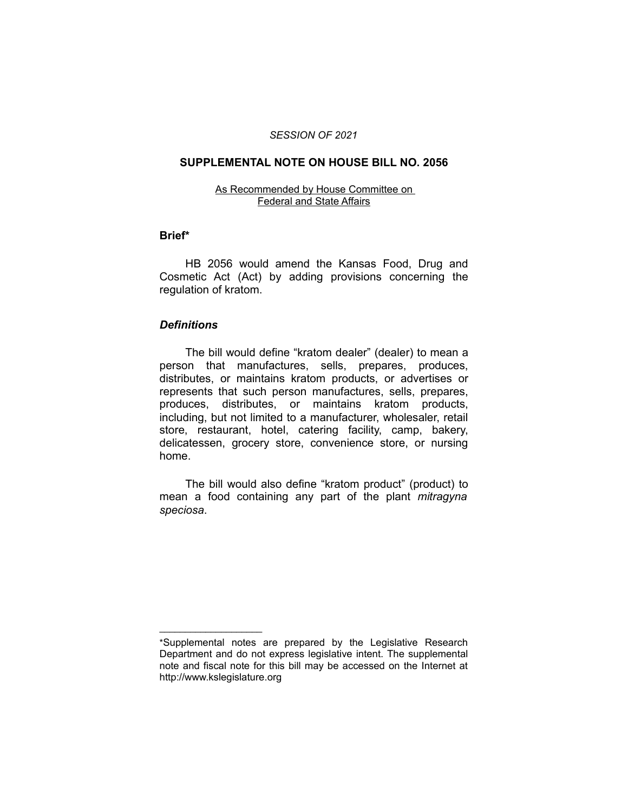#### *SESSION OF 2021*

#### **SUPPLEMENTAL NOTE ON HOUSE BILL NO. 2056**

#### As Recommended by House Committee on Federal and State Affairs

#### **Brief\***

HB 2056 would amend the Kansas Food, Drug and Cosmetic Act (Act) by adding provisions concerning the regulation of kratom.

#### *Definitions*

 $\frac{1}{2}$  ,  $\frac{1}{2}$  ,  $\frac{1}{2}$  ,  $\frac{1}{2}$  ,  $\frac{1}{2}$  ,  $\frac{1}{2}$  ,  $\frac{1}{2}$  ,  $\frac{1}{2}$  ,  $\frac{1}{2}$  ,  $\frac{1}{2}$  ,  $\frac{1}{2}$ 

The bill would define "kratom dealer" (dealer) to mean a person that manufactures, sells, prepares, produces, distributes, or maintains kratom products, or advertises or represents that such person manufactures, sells, prepares, produces, distributes, or maintains kratom products, including, but not limited to a manufacturer, wholesaler, retail store, restaurant, hotel, catering facility, camp, bakery, delicatessen, grocery store, convenience store, or nursing home.

The bill would also define "kratom product" (product) to mean a food containing any part of the plant *mitragyna speciosa*.

<sup>\*</sup>Supplemental notes are prepared by the Legislative Research Department and do not express legislative intent. The supplemental note and fiscal note for this bill may be accessed on the Internet at http://www.kslegislature.org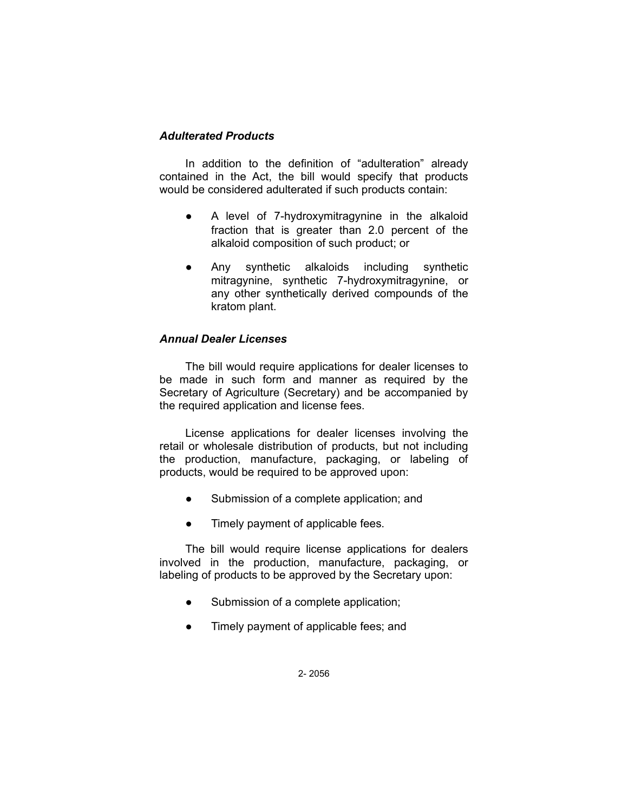# *Adulterated Products*

In addition to the definition of "adulteration" already contained in the Act, the bill would specify that products would be considered adulterated if such products contain:

- A level of 7-hydroxymitragynine in the alkaloid fraction that is greater than 2.0 percent of the alkaloid composition of such product; or
- Any synthetic alkaloids including synthetic mitragynine, synthetic 7-hydroxymitragynine, or any other synthetically derived compounds of the kratom plant.

# *Annual Dealer Licenses*

The bill would require applications for dealer licenses to be made in such form and manner as required by the Secretary of Agriculture (Secretary) and be accompanied by the required application and license fees.

License applications for dealer licenses involving the retail or wholesale distribution of products, but not including the production, manufacture, packaging, or labeling of products, would be required to be approved upon:

- Submission of a complete application; and
- Timely payment of applicable fees.

The bill would require license applications for dealers involved in the production, manufacture, packaging, or labeling of products to be approved by the Secretary upon:

- Submission of a complete application;
- Timely payment of applicable fees; and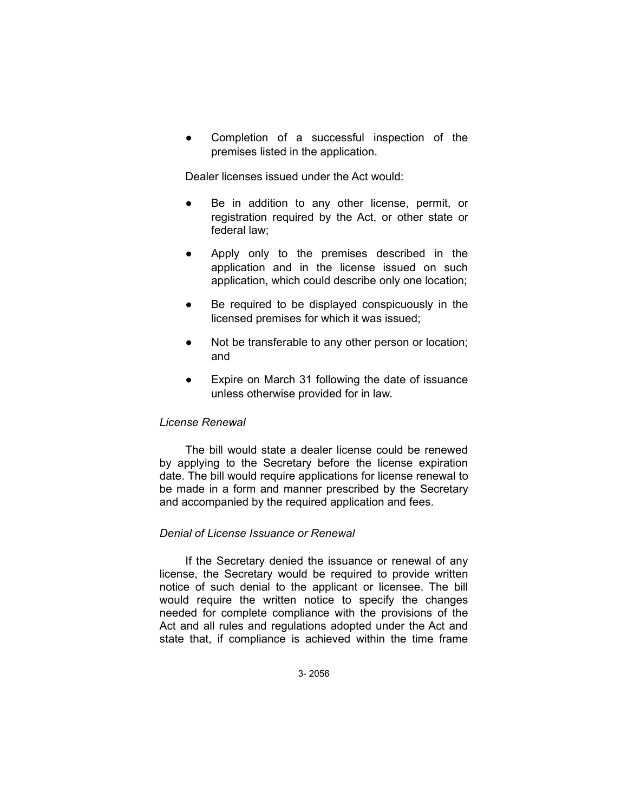Completion of a successful inspection of the premises listed in the application.

Dealer licenses issued under the Act would:

- Be in addition to any other license, permit, or registration required by the Act, or other state or federal law;
- Apply only to the premises described in the application and in the license issued on such application, which could describe only one location;
- Be required to be displayed conspicuously in the licensed premises for which it was issued;
- Not be transferable to any other person or location; and
- Expire on March 31 following the date of issuance unless otherwise provided for in law.

# *License Renewal*

The bill would state a dealer license could be renewed by applying to the Secretary before the license expiration date. The bill would require applications for license renewal to be made in a form and manner prescribed by the Secretary and accompanied by the required application and fees.

# *Denial of License Issuance or Renewal*

If the Secretary denied the issuance or renewal of any license, the Secretary would be required to provide written notice of such denial to the applicant or licensee. The bill would require the written notice to specify the changes needed for complete compliance with the provisions of the Act and all rules and regulations adopted under the Act and state that, if compliance is achieved within the time frame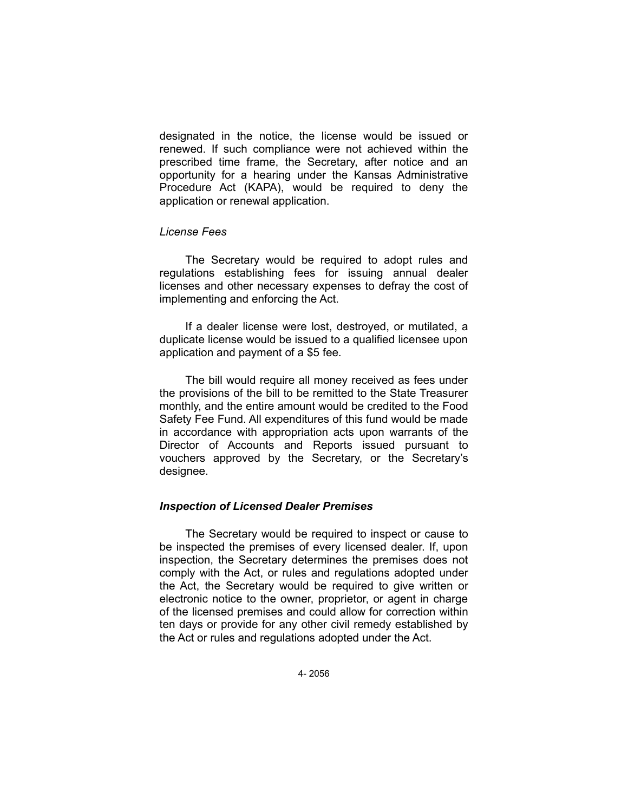designated in the notice, the license would be issued or renewed. If such compliance were not achieved within the prescribed time frame, the Secretary, after notice and an opportunity for a hearing under the Kansas Administrative Procedure Act (KAPA), would be required to deny the application or renewal application.

#### *License Fees*

The Secretary would be required to adopt rules and regulations establishing fees for issuing annual dealer licenses and other necessary expenses to defray the cost of implementing and enforcing the Act.

If a dealer license were lost, destroyed, or mutilated, a duplicate license would be issued to a qualified licensee upon application and payment of a \$5 fee.

The bill would require all money received as fees under the provisions of the bill to be remitted to the State Treasurer monthly, and the entire amount would be credited to the Food Safety Fee Fund. All expenditures of this fund would be made in accordance with appropriation acts upon warrants of the Director of Accounts and Reports issued pursuant to vouchers approved by the Secretary, or the Secretary's designee.

# *Inspection of Licensed Dealer Premises*

The Secretary would be required to inspect or cause to be inspected the premises of every licensed dealer. If, upon inspection, the Secretary determines the premises does not comply with the Act, or rules and regulations adopted under the Act, the Secretary would be required to give written or electronic notice to the owner, proprietor, or agent in charge of the licensed premises and could allow for correction within ten days or provide for any other civil remedy established by the Act or rules and regulations adopted under the Act.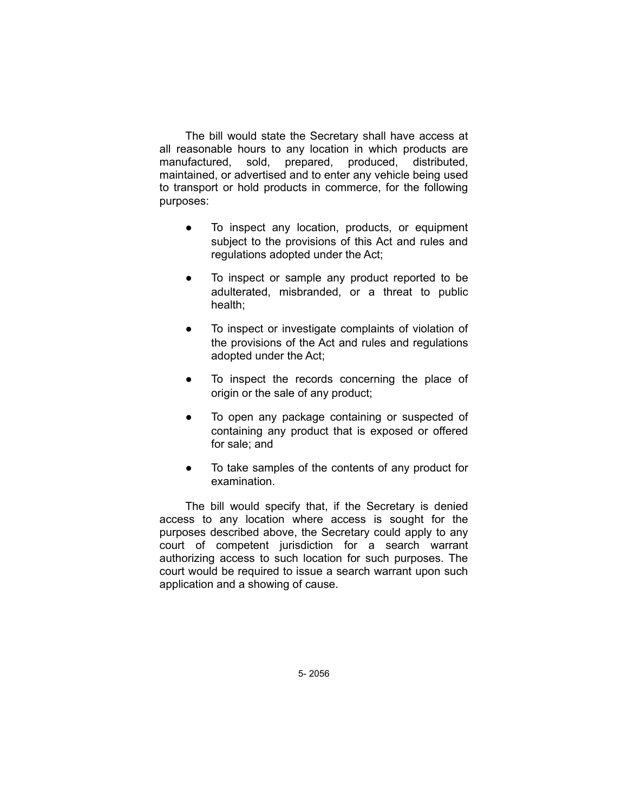The bill would state the Secretary shall have access at all reasonable hours to any location in which products are manufactured, sold, prepared, produced, distributed, maintained, or advertised and to enter any vehicle being used to transport or hold products in commerce, for the following purposes:

- To inspect any location, products, or equipment subject to the provisions of this Act and rules and regulations adopted under the Act;
- To inspect or sample any product reported to be adulterated, misbranded, or a threat to public health;
- To inspect or investigate complaints of violation of the provisions of the Act and rules and regulations adopted under the Act;
- To inspect the records concerning the place of origin or the sale of any product;
- To open any package containing or suspected of containing any product that is exposed or offered for sale; and
- To take samples of the contents of any product for examination.

The bill would specify that, if the Secretary is denied access to any location where access is sought for the purposes described above, the Secretary could apply to any court of competent jurisdiction for a search warrant authorizing access to such location for such purposes. The court would be required to issue a search warrant upon such application and a showing of cause.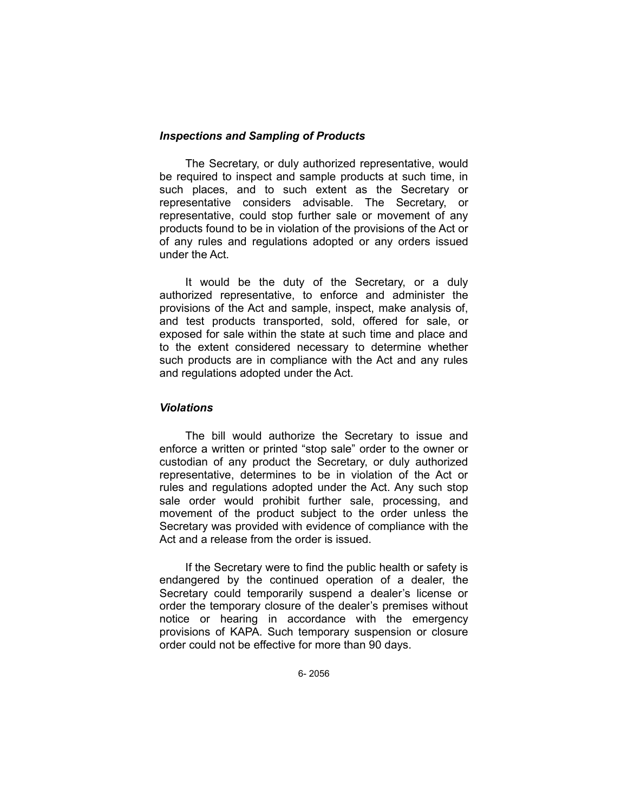### *Inspections and Sampling of Products*

The Secretary, or duly authorized representative, would be required to inspect and sample products at such time, in such places, and to such extent as the Secretary or representative considers advisable. The Secretary, or representative, could stop further sale or movement of any products found to be in violation of the provisions of the Act or of any rules and regulations adopted or any orders issued under the Act.

It would be the duty of the Secretary, or a duly authorized representative, to enforce and administer the provisions of the Act and sample, inspect, make analysis of, and test products transported, sold, offered for sale, or exposed for sale within the state at such time and place and to the extent considered necessary to determine whether such products are in compliance with the Act and any rules and regulations adopted under the Act.

#### *Violations*

The bill would authorize the Secretary to issue and enforce a written or printed "stop sale" order to the owner or custodian of any product the Secretary, or duly authorized representative, determines to be in violation of the Act or rules and regulations adopted under the Act. Any such stop sale order would prohibit further sale, processing, and movement of the product subject to the order unless the Secretary was provided with evidence of compliance with the Act and a release from the order is issued.

If the Secretary were to find the public health or safety is endangered by the continued operation of a dealer, the Secretary could temporarily suspend a dealer's license or order the temporary closure of the dealer's premises without notice or hearing in accordance with the emergency provisions of KAPA. Such temporary suspension or closure order could not be effective for more than 90 days.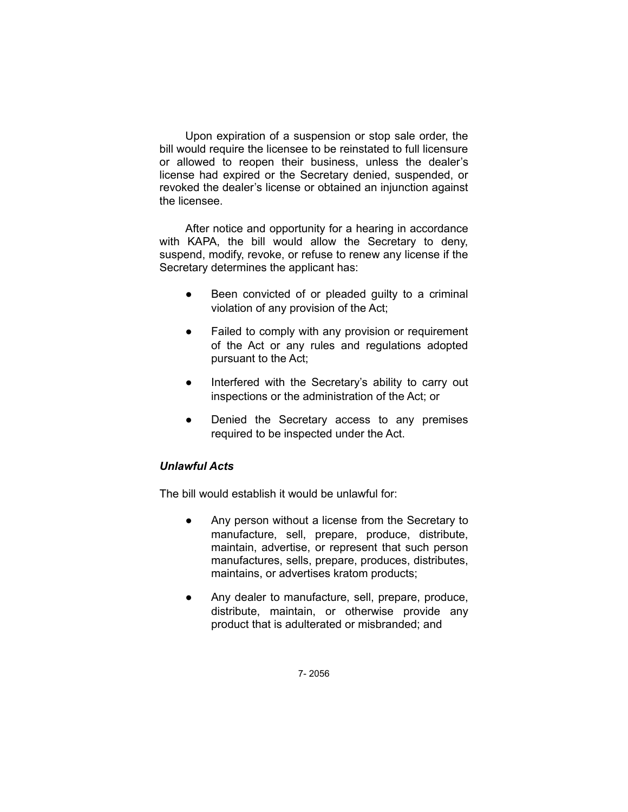Upon expiration of a suspension or stop sale order, the bill would require the licensee to be reinstated to full licensure or allowed to reopen their business, unless the dealer's license had expired or the Secretary denied, suspended, or revoked the dealer's license or obtained an injunction against the licensee.

After notice and opportunity for a hearing in accordance with KAPA, the bill would allow the Secretary to deny, suspend, modify, revoke, or refuse to renew any license if the Secretary determines the applicant has:

- Been convicted of or pleaded guilty to a criminal violation of any provision of the Act;
- Failed to comply with any provision or requirement of the Act or any rules and regulations adopted pursuant to the Act;
- Interfered with the Secretary's ability to carry out inspections or the administration of the Act; or
- Denied the Secretary access to any premises required to be inspected under the Act.

# *Unlawful Acts*

The bill would establish it would be unlawful for:

- Any person without a license from the Secretary to manufacture, sell, prepare, produce, distribute, maintain, advertise, or represent that such person manufactures, sells, prepare, produces, distributes, maintains, or advertises kratom products;
- Any dealer to manufacture, sell, prepare, produce, distribute, maintain, or otherwise provide any product that is adulterated or misbranded; and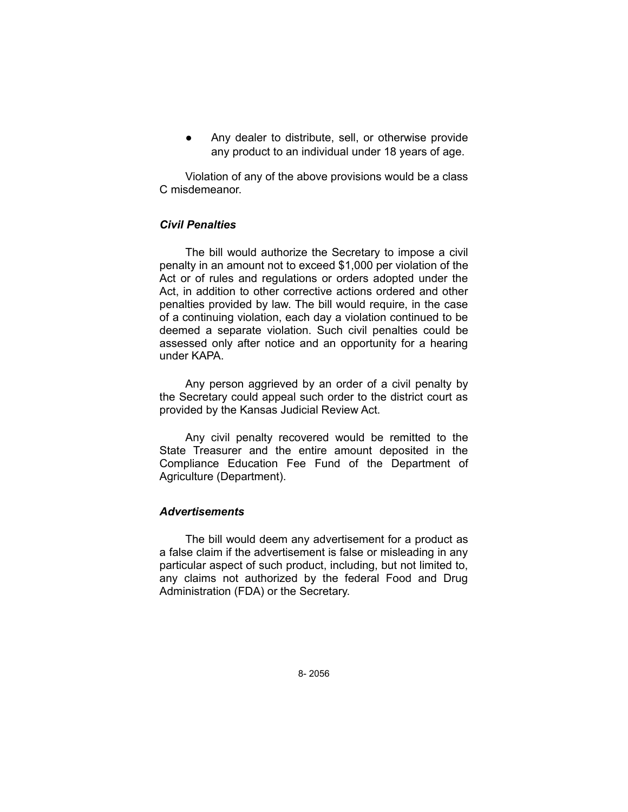Any dealer to distribute, sell, or otherwise provide any product to an individual under 18 years of age.

Violation of any of the above provisions would be a class C misdemeanor.

# *Civil Penalties*

The bill would authorize the Secretary to impose a civil penalty in an amount not to exceed \$1,000 per violation of the Act or of rules and regulations or orders adopted under the Act, in addition to other corrective actions ordered and other penalties provided by law. The bill would require, in the case of a continuing violation, each day a violation continued to be deemed a separate violation. Such civil penalties could be assessed only after notice and an opportunity for a hearing under KAPA.

Any person aggrieved by an order of a civil penalty by the Secretary could appeal such order to the district court as provided by the Kansas Judicial Review Act.

Any civil penalty recovered would be remitted to the State Treasurer and the entire amount deposited in the Compliance Education Fee Fund of the Department of Agriculture (Department).

# *Advertisements*

The bill would deem any advertisement for a product as a false claim if the advertisement is false or misleading in any particular aspect of such product, including, but not limited to, any claims not authorized by the federal Food and Drug Administration (FDA) or the Secretary.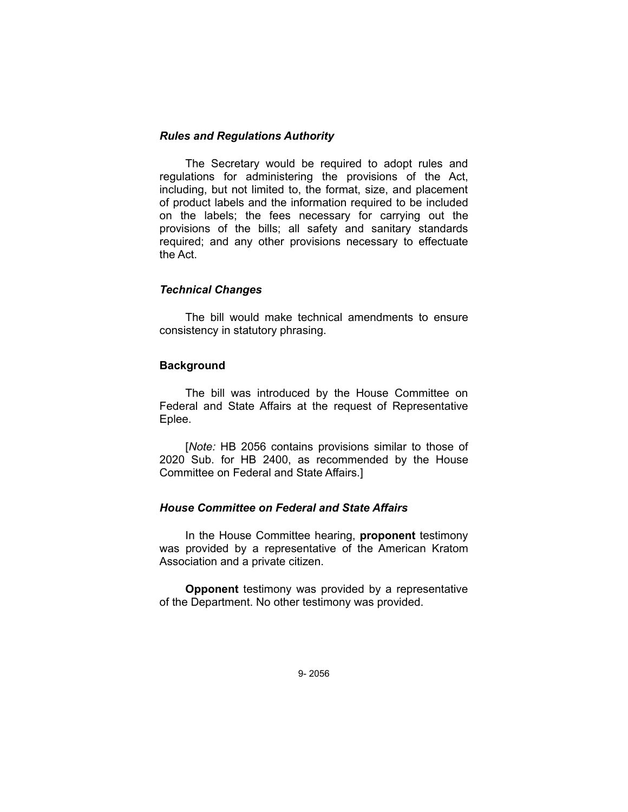# *Rules and Regulations Authority*

The Secretary would be required to adopt rules and regulations for administering the provisions of the Act, including, but not limited to, the format, size, and placement of product labels and the information required to be included on the labels; the fees necessary for carrying out the provisions of the bills; all safety and sanitary standards required; and any other provisions necessary to effectuate the Act.

### *Technical Changes*

The bill would make technical amendments to ensure consistency in statutory phrasing.

### **Background**

The bill was introduced by the House Committee on Federal and State Affairs at the request of Representative Eplee.

[*Note:* HB 2056 contains provisions similar to those of 2020 Sub. for HB 2400, as recommended by the House Committee on Federal and State Affairs.]

#### *House Committee on Federal and State Affairs*

In the House Committee hearing, **proponent** testimony was provided by a representative of the American Kratom Association and a private citizen.

**Opponent** testimony was provided by a representative of the Department. No other testimony was provided.